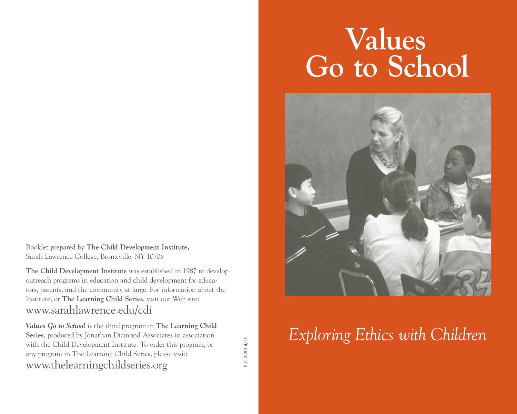Booklet prepared by **The Child Development Institute,**  Sarah Lawrence College, Bronxville, NY 10708

**The Child Development Institute** was established in 1987 to develop outreach programs in education and child development for educators, parents, and the community at large. For information about the Institute, or **The Learning Child Series**, visit our Web site: www.sarahlawrence.edu/cdi

*Values Go to School* is the third program in **The Learning Child Series**, produced by Jonathan Diamond Associates in association with the Child Development Institute. To order this program, or any program in The Learning Child Series, please visit: www.thelearningchildseries.org

SLC 2283 4/10 SLC 2283 4/10

# **Values Go to School**



## *Exploring Ethics with Children*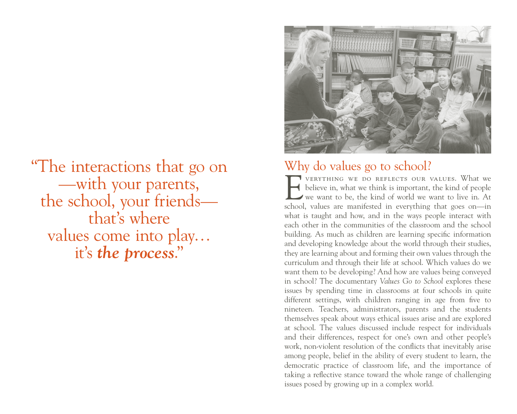"The interactions that go on —with your parents, the school, your friends that's where values come into play… it's *the process*."



#### Why do values go to school?

VERYTHING WE DO REFLECTS OUR VALUES. What we believe in, what we think is important, the kind of people we want to be, the kind of world we want to live in. At believe in, what we think is important, the kind of people we want to be, the kind of world we want to live in. At school, values are manifested in everything that goes on—in what is taught and how, and in the ways people interact with each other in the communities of the classroom and the school building. As much as children are learning specific information and developing knowledge about the world through their studies, they are learning about and forming their own values through the curriculum and through their life at school. Which values do we want them to be developing? And how are values being conveyed in school? The documentary *Values Go to School* explores these issues by spending time in classrooms at four schools in quite different settings, with children ranging in age from five to nineteen. Teachers, administrators, parents and the students themselves speak about ways ethical issues arise and are explored at school. The values discussed include respect for individuals and their differences, respect for one's own and other people's work, non-violent resolution of the conflicts that inevitably arise among people, belief in the ability of every student to learn, the democratic practice of classroom life, and the importance of taking a reflective stance toward the whole range of challenging issues posed by growing up in a complex world.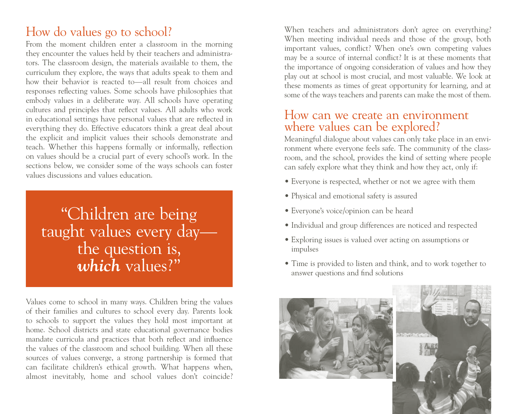## How do values go to school?

From the moment children enter a classroom in the morning they encounter the values held by their teachers and administrators. The classroom design, the materials available to them, the curriculum they explore, the ways that adults speak to them and how their behavior is reacted to—all result from choices and responses reflecting values. Some schools have philosophies that embody values in a deliberate way. All schools have operating cultures and principles that reflect values. All adults who work in educational settings have personal values that are reflected in everything they do. Effective educators think a great deal about the explicit and implicit values their schools demonstrate and teach. Whether this happens formally or informally, reflection on values should be a crucial part of every school's work. In the sections below, we consider some of the ways schools can foster values discussions and values education.

## "Children are being taught values every day the question is, *which* values?"

Values come to school in many ways. Children bring the values of their families and cultures to school every day. Parents look to schools to support the values they hold most important at home. School districts and state educational governance bodies mandate curricula and practices that both reflect and influence the values of the classroom and school building. When all these sources of values converge, a strong partnership is formed that can facilitate children's ethical growth. What happens when, almost inevitably, home and school values don't coincide? When teachers and administrators don't agree on everything? When meeting individual needs and those of the group, both important values, conflict? When one's own competing values may be a source of internal conflict? It is at these moments that the importance of ongoing consideration of values and how they play out at school is most crucial, and most valuable. We look at these moments as times of great opportunity for learning, and at some of the ways teachers and parents can make the most of them.

#### How can we create an environment where values can be explored?

Meaningful dialogue about values can only take place in an environment where everyone feels safe. The community of the classroom, and the school, provides the kind of setting where people can safely explore what they think and how they act, only if:

- Everyone is respected, whether or not we agree with them
- Physical and emotional safety is assured
- Everyone's voice/opinion can be heard
- Individual and group differences are noticed and respected
- Exploring issues is valued over acting on assumptions or impulses
- Time is provided to listen and think, and to work together to answer questions and find solutions

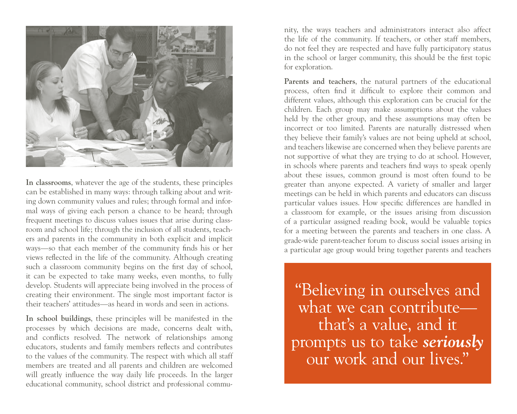

**In classrooms**, whatever the age of the students, these principles can be established in many ways: through talking about and writing down community values and rules; through formal and informal ways of giving each person a chance to be heard; through frequent meetings to discuss values issues that arise during classroom and school life; through the inclusion of all students, teachers and parents in the community in both explicit and implicit ways—so that each member of the community finds his or her views reflected in the life of the community. Although creating such a classroom community begins on the first day of school, it can be expected to take many weeks, even months, to fully develop. Students will appreciate being involved in the process of creating their environment. The single most important factor is their teachers' attitudes—as heard in words and seen in actions.

**In school buildings**, these principles will be manifested in the processes by which decisions are made, concerns dealt with, and conflicts resolved. The network of relationships among educators, students and family members reflects and contributes to the values of the community. The respect with which all staff members are treated and all parents and children are welcomed will greatly influence the way daily life proceeds. In the larger educational community, school district and professional community, the ways teachers and administrators interact also affect the life of the community. If teachers, or other staff members, do not feel they are respected and have fully participatory status in the school or larger community, this should be the first topic for exploration.

Parents and teachers, the natural partners of the educational process, often find it difficult to explore their common and different values, although this exploration can be crucial for the children. Each group may make assumptions about the values held by the other group, and these assumptions may often be incorrect or too limited. Parents are naturally distressed when they believe their family's values are not being upheld at school, and teachers likewise are concerned when they believe parents are not supportive of what they are trying to do at school. However, in schools where parents and teachers find ways to speak openly about these issues, common ground is most often found to be greater than anyone expected. A variety of smaller and larger meetings can be held in which parents and educators can discuss particular values issues. How specific differences are handled in a classroom for example, or the issues arising from discussion of a particular assigned reading book, would be valuable topics for a meeting between the parents and teachers in one class. A grade-wide parent-teacher forum to discuss social issues arising in a particular age group would bring together parents and teachers

"Believing in ourselves and what we can contribute that's a value, and it prompts us to take *seriously* our work and our lives."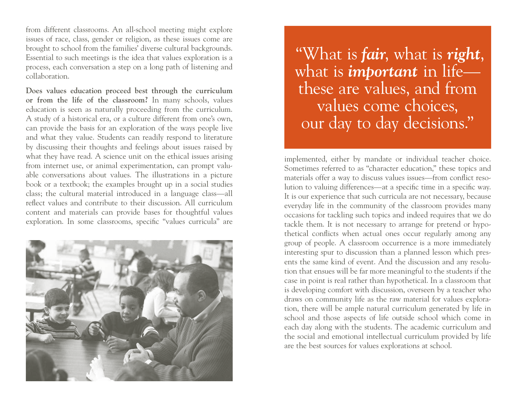from different classrooms. An all-school meeting might explore issues of race, class, gender or religion, as these issues come are brought to school from the families' diverse cultural backgrounds. Essential to such meetings is the idea that values exploration is a process, each conversation a step on a long path of listening and collaboration.

**Does values education proceed best through the curriculum or from the life of the classroom?** In many schools, values education is seen as naturally proceeding from the curriculum. A study of a historical era, or a culture different from one's own, can provide the basis for an exploration of the ways people live and what they value. Students can readily respond to literature by discussing their thoughts and feelings about issues raised by what they have read. A science unit on the ethical issues arising from internet use, or animal experimentation, can prompt valuable conversations about values. The illustrations in a picture book or a textbook; the examples brought up in a social studies class; the cultural material introduced in a language class—all reflect values and contribute to their discussion. All curriculum content and materials can provide bases for thoughtful values exploration. In some classrooms, specific "values curricula" are



 "What is *fair*, what is *right*, what is *important* in life these are values, and from values come choices, our day to day decisions."

implemented, either by mandate or individual teacher choice. Sometimes referred to as "character education," these topics and materials offer a way to discuss values issues—from conflict resolution to valuing differences—at a specific time in a specific way. It is our experience that such curricula are not necessary, because everyday life in the community of the classroom provides many occasions for tackling such topics and indeed requires that we do tackle them. It is not necessary to arrange for pretend or hypothetical conflicts when actual ones occur regularly among any group of people. A classroom occurrence is a more immediately interesting spur to discussion than a planned lesson which presents the same kind of event. And the discussion and any resolution that ensues will be far more meaningful to the students if the case in point is real rather than hypothetical. In a classroom that is developing comfort with discussion, overseen by a teacher who draws on community life as the raw material for values exploration, there will be ample natural curriculum generated by life in school and those aspects of life outside school which come in each day along with the students. The academic curriculum and the social and emotional intellectual curriculum provided by life are the best sources for values explorations at school.